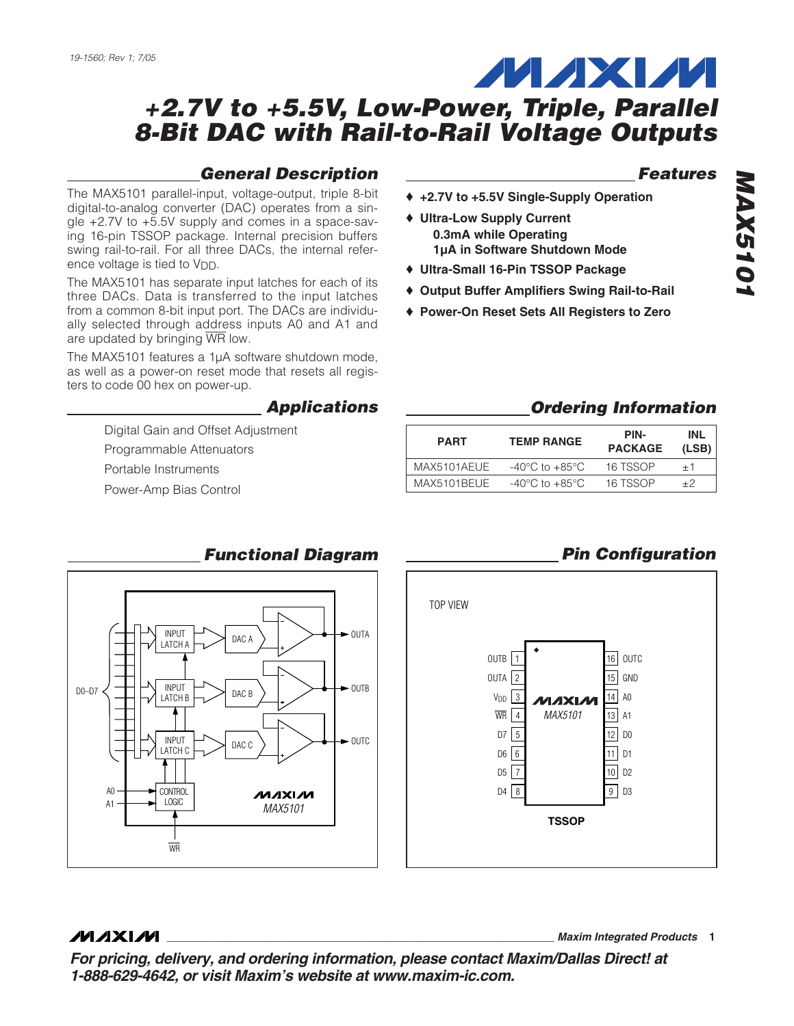#### *General Description*

The MAX5101 parallel-input, voltage-output, triple 8-bit digital-to-analog converter (DAC) operates from a single +2.7V to +5.5V supply and comes in a space-saving 16-pin TSSOP package. Internal precision buffers swing rail-to-rail. For all three DACs, the internal reference voltage is tied to V<sub>DD</sub>.

The MAX5101 has separate input latches for each of its three DACs. Data is transferred to the input latches from a common 8-bit input port. The DACs are individually selected through address inputs A0 and A1 and are updated by bringing WR low.

The MAX5101 features a 1µA software shutdown mode, as well as a power-on reset mode that resets all registers to code 00 hex on power-up.

#### *Applications*

Digital Gain and Offset Adjustment

Programmable Attenuators

Portable Instruments

Power-Amp Bias Control



- ♦ **+2.7V to +5.5V Single-Supply Operation**
- ♦ **Ultra-Low Supply Current 0.3mA while Operating 1µA in Software Shutdown Mode**
- ♦ **Ultra-Small 16-Pin TSSOP Package**
- ♦ **Output Buffer Amplifiers Swing Rail-to-Rail**
- ♦ **Power-On Reset Sets All Registers to Zero**

#### *Ordering Information*

15 14 13 A1 12 D0 11 D1 10 D2 9 D3

GND A0

*Pin Configuration*

| <b>PART</b> | <b>TEMP RANGE</b>                  | PIN-<br><b>PACKAGE</b> | INL<br>(LSB) |
|-------------|------------------------------------|------------------------|--------------|
| MAX5101AEUE | $-40^{\circ}$ C to $+85^{\circ}$ C | 16 TSSOP               | $+1$         |
| MAX5101BEUE | $-40^{\circ}$ C to $+85^{\circ}$ C | 16 TSSOP               | $+2$         |



#### *Functional Diagram*

#### **MAXIM**

**\_\_\_\_\_\_\_\_\_\_\_\_\_\_\_\_\_\_\_\_\_\_\_\_\_\_\_\_\_\_\_\_\_\_\_\_\_\_\_\_\_\_\_\_\_\_\_\_\_\_\_\_\_\_\_\_\_\_\_\_\_\_\_\_** *Maxim Integrated Products* **1**

*For pricing, delivery, and ordering information, please contact Maxim/Dallas Direct! at 1-888-629-4642, or visit Maxim's website at www.maxim-ic.com.*

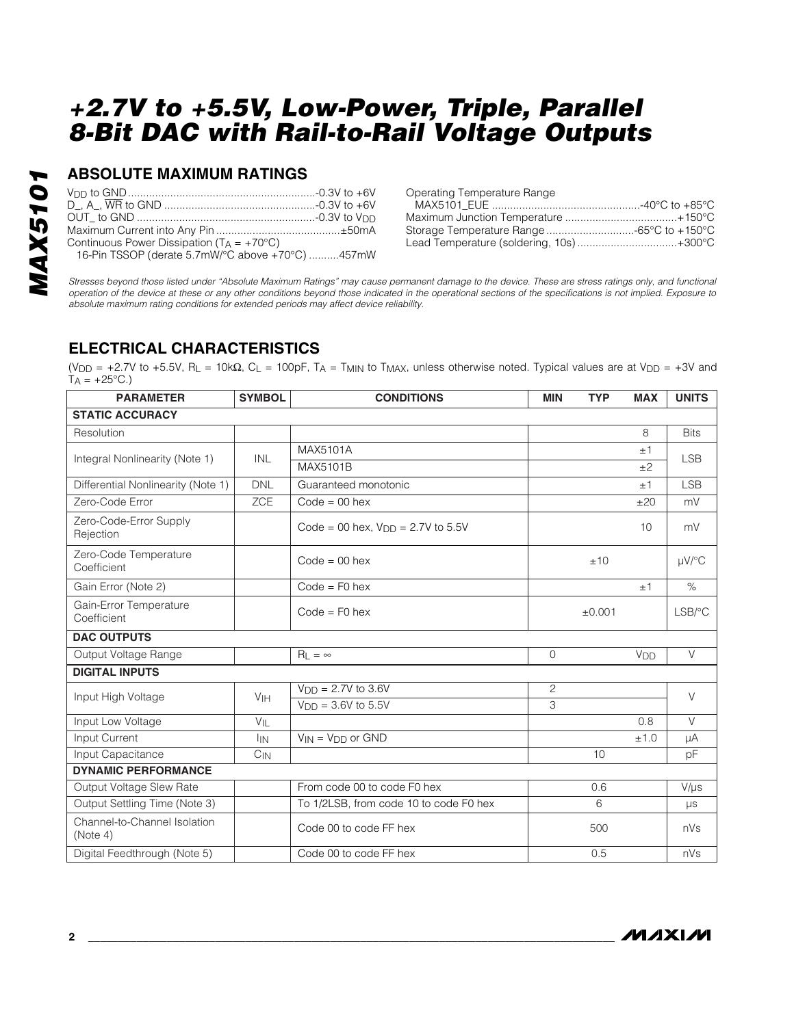### **ABSOLUTE MAXIMUM RATINGS**

| Continuous Power Dissipation ( $T_A = +70^{\circ}C$ ) |  |
|-------------------------------------------------------|--|
| 16-Pin TSSOP (derate 5.7mW/°C above +70°C) 457mW      |  |

| Storage Temperature Range -65°C to +150°C |
|-------------------------------------------|
| Lead Temperature (soldering, 10s)+300°C   |
|                                           |

*Stresses beyond those listed under "Absolute Maximum Ratings" may cause permanent damage to the device. These are stress ratings only, and functional operation of the device at these or any other conditions beyond those indicated in the operational sections of the specifications is not implied. Exposure to absolute maximum rating conditions for extended periods may affect device reliability.*

### **ELECTRICAL CHARACTERISTICS**

(V<sub>DD</sub> = +2.7V to +5.5V, R<sub>L</sub> = 10kΩ, C<sub>L</sub> = 100pF, T<sub>A</sub> = T<sub>MIN</sub> to T<sub>MAX</sub>, unless otherwise noted. Typical values are at V<sub>DD</sub> = +3V and  $TA = +25^{\circ}C.$ 

| <b>PARAMETER</b>                         | <b>SYMBOL</b>   | <b>CONDITIONS</b>                      |                | <b>TYP</b> | <b>MAX</b>      | <b>UNITS</b>           |  |
|------------------------------------------|-----------------|----------------------------------------|----------------|------------|-----------------|------------------------|--|
| <b>STATIC ACCURACY</b>                   |                 |                                        |                |            |                 |                        |  |
| Resolution                               |                 |                                        |                |            | 8               | <b>Bits</b>            |  |
|                                          | INL             | MAX5101A                               |                |            | ±1              | <b>LSB</b>             |  |
| Integral Nonlinearity (Note 1)           |                 | MAX5101B                               |                |            | ±2              |                        |  |
| Differential Nonlinearity (Note 1)       | <b>DNL</b>      | Guaranteed monotonic                   |                |            | ±1              | <b>LSB</b>             |  |
| Zero-Code Error                          | <b>ZCE</b>      | $Code = 00$ hex                        |                |            | ±20             | mV                     |  |
| Zero-Code-Error Supply<br>Rejection      |                 | Code = 00 hex, $V_{DD}$ = 2.7V to 5.5V |                |            | 10              | mV                     |  |
| Zero-Code Temperature<br>Coefficient     |                 | $Code = 00$ hex                        |                | ±10        |                 | $\mu$ V/°C             |  |
| Gain Error (Note 2)                      |                 | $Code = F0$ hex                        |                |            | ±1              | $\%$                   |  |
| Gain-Error Temperature<br>Coefficient    |                 | $Code = F0$ hex                        |                | ±0.001     |                 | $LSB$ <sup>o</sup> $C$ |  |
| <b>DAC OUTPUTS</b>                       |                 |                                        |                |            |                 |                        |  |
| Output Voltage Range                     |                 | $R_1 = \infty$                         | $\Omega$       |            | V <sub>DD</sub> | $\vee$                 |  |
| <b>DIGITAL INPUTS</b>                    |                 |                                        |                |            |                 |                        |  |
| Input High Voltage                       | V <sub>IH</sub> | $V_{DD} = 2.7V$ to 3.6V                | $\overline{2}$ |            |                 | $\vee$                 |  |
|                                          |                 | $V_{\text{DD}} = 3.6V$ to 5.5V         | 3              |            |                 |                        |  |
| Input Low Voltage                        | VIL             |                                        |                |            | 0.8             | $\vee$                 |  |
| Input Current                            | <b>IIN</b>      | $V_{IN} = V_{DD}$ or GND               |                |            | ±1.0            | μA                     |  |
| Input Capacitance                        | $C_{IN}$        |                                        |                | 10         |                 | pF                     |  |
| <b>DYNAMIC PERFORMANCE</b>               |                 |                                        |                |            |                 |                        |  |
| Output Voltage Slew Rate                 |                 | From code 00 to code F0 hex            |                | 0.6        |                 | $V/\mu s$              |  |
| Output Settling Time (Note 3)            |                 | To 1/2LSB, from code 10 to code F0 hex |                | 6          |                 | $\mu s$                |  |
| Channel-to-Channel Isolation<br>(Note 4) |                 | Code 00 to code FF hex                 |                | 500        |                 | nVs                    |  |
| Digital Feedthrough (Note 5)             |                 | Code 00 to code FF hex                 |                | 0.5        |                 | nVs                    |  |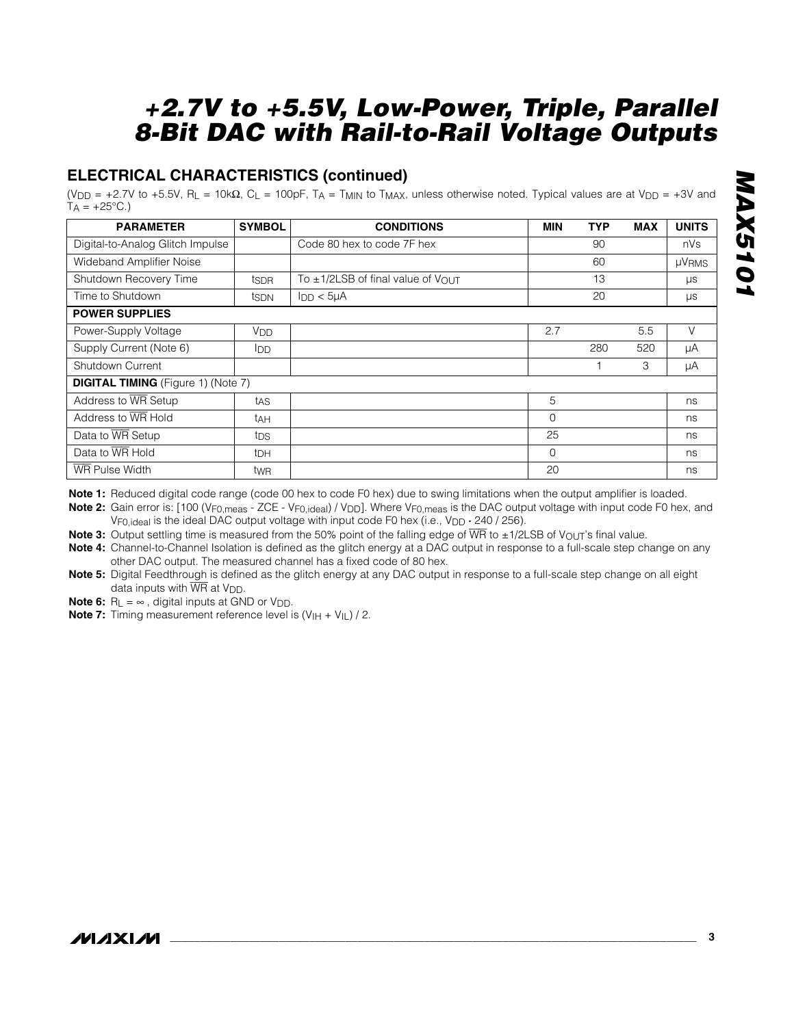### **ELECTRICAL CHARACTERISTICS (continued)**

(V<sub>DD</sub> = +2.7V to +5.5V, R<sub>L</sub> = 10kΩ, C<sub>L</sub> = 100pF, T<sub>A</sub> = T<sub>MIN</sub> to T<sub>MAX</sub>, unless otherwise noted. Typical values are at V<sub>DD</sub> = +3V and  $T_A = +25^{\circ}C.$ 

| <b>PARAMETER</b>                          | <b>SYMBOL</b>          | <b>CONDITIONS</b>                      | <b>MIN</b> | <b>TYP</b> | <b>MAX</b> | <b>UNITS</b> |  |
|-------------------------------------------|------------------------|----------------------------------------|------------|------------|------------|--------------|--|
| Digital-to-Analog Glitch Impulse          |                        | Code 80 hex to code 7F hex             |            | 90         |            | nVs          |  |
| Wideband Amplifier Noise                  |                        | 60                                     |            |            |            | <b>µVRMS</b> |  |
| Shutdown Recovery Time                    | tsdr                   | To $\pm$ 1/2LSB of final value of VOUT |            | 13         |            | $\mu s$      |  |
| Time to Shutdown                          | tsdN                   | 20<br>$I_{DD}$ < $5\mu A$              |            |            |            | μs           |  |
| <b>POWER SUPPLIES</b>                     |                        |                                        |            |            |            |              |  |
| Power-Supply Voltage                      | <b>V</b> <sub>DD</sub> |                                        | 2.7        |            | 5.5        | $\vee$       |  |
| Supply Current (Note 6)                   | <b>I</b> DD            |                                        |            | 280        | 520        | μA           |  |
| Shutdown Current                          |                        |                                        |            |            | 3          | μA           |  |
| <b>DIGITAL TIMING</b> (Figure 1) (Note 7) |                        |                                        |            |            |            |              |  |
| Address to WR Setup                       | tas                    |                                        | 5          |            |            | ns           |  |
| Address to WR Hold                        | tдн                    |                                        | 0          |            |            | ns           |  |
| Data to WR Setup                          | tps                    |                                        | 25         |            |            | ns           |  |
| Data to WR Hold                           | <sup>t</sup> DH        |                                        | $\Omega$   |            |            | ns           |  |
| WR Pulse Width                            | twR                    |                                        | 20         |            |            | ns           |  |

**Note 1:** Reduced digital code range (code 00 hex to code F0 hex) due to swing limitations when the output amplifier is loaded.

Note 2: Gain error is: [100 (V<sub>F0, meas</sub> - ZCE - V<sub>F0, ideal</sub>) / V<sub>DD</sub>]. Where V<sub>F0, meas</sub> is the DAC output voltage with input code F0 hex, and V<sub>F0,ideal</sub> is the ideal DAC output voltage with input code F0 hex (i.e., V<sub>DD</sub>  $\cdot$  240 / 256).

**Note 3:** Output settling time is measured from the 50% point of the falling edge of  $\overline{WR}$  to ±1/2LSB of V<sub>OUT</sub>'s final value.

**Note 4:** Channel-to-Channel Isolation is defined as the glitch energy at a DAC output in response to a full-scale step change on any other DAC output. The measured channel has a fixed code of 80 hex.

**Note 5:** Digital Feedthrough is defined as the glitch energy at any DAC output in response to a full-scale step change on all eight data inputs with  $\overline{\text{WR}}$  at  $V_{\text{DD}}$ .

**Note 6:**  $R_L = \infty$ , digital inputs at GND or  $V_{DD}$ .

**Note 7:** Timing measurement reference level is  $(V_{H} + V_{IL}) / 2$ .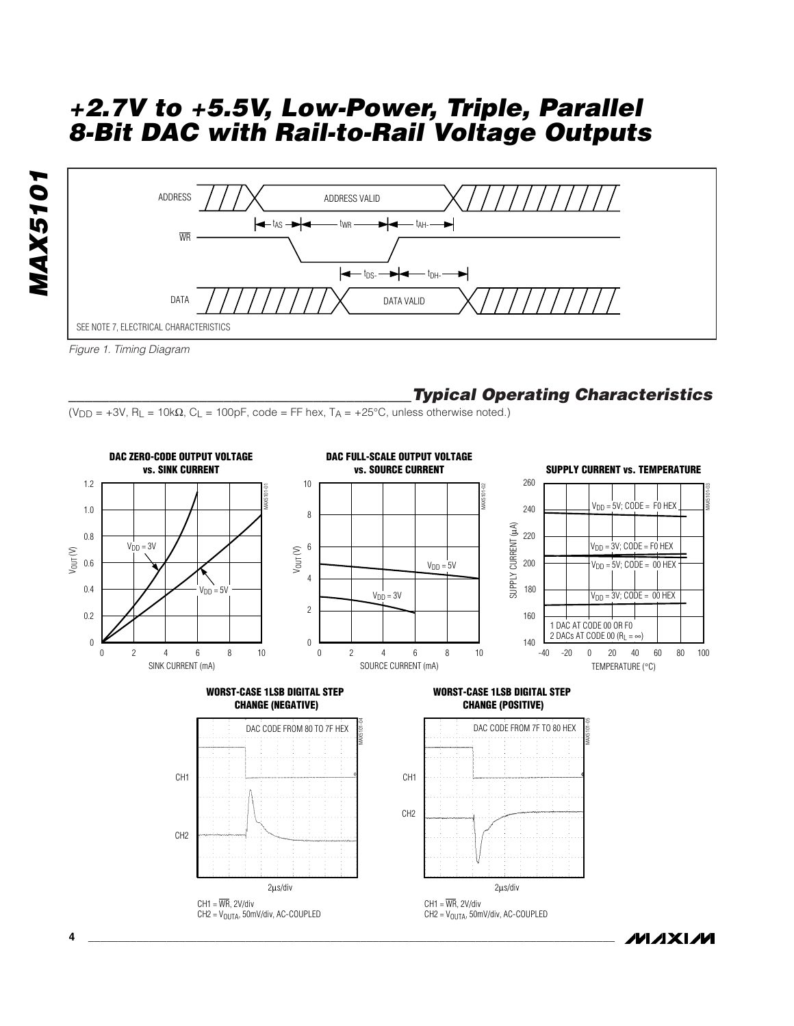



*Figure 1. Timing Diagram*

### *\_\_\_\_\_\_\_\_\_\_\_\_\_\_\_\_\_\_\_\_\_\_\_\_\_\_\_\_\_\_\_\_\_\_\_\_\_\_\_\_\_\_Typical Operating Characteristics*

(V<sub>DD</sub> = +3V, R<sub>L</sub> = 10k $\Omega$ , C<sub>L</sub> = 100pF, code = FF hex, T<sub>A</sub> = +25°C, unless otherwise noted.)



*/VI /I* XI /VI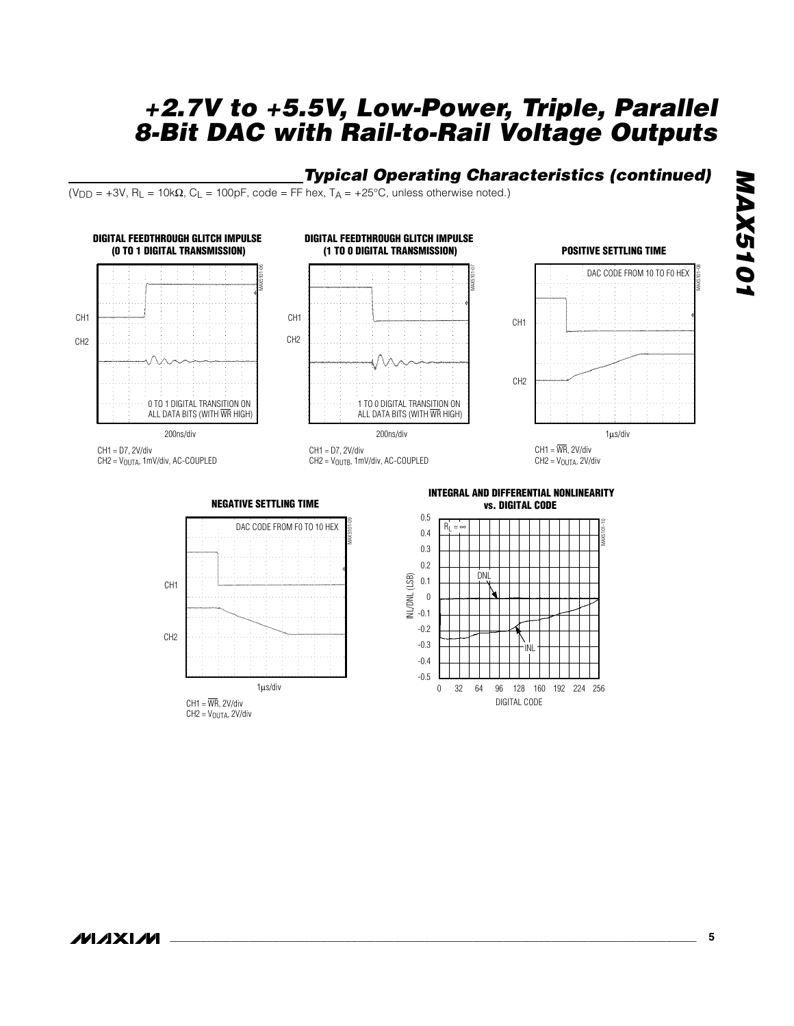#### *Typical Operating Characteristics (continued)*

(V<sub>DD</sub> = +3V, R<sub>L</sub> = 10k $\Omega$ , C<sub>L</sub> = 100pF, code = FF hex, T<sub>A</sub> = +25°C, unless otherwise noted.)



 $CH1 = \overline{WR}$ , 2V/div  $CH2 = V<sub>OUTA</sub>, 2V/div$ 

**\_\_\_\_\_\_\_\_\_\_\_\_\_\_\_\_\_\_\_\_\_\_\_\_\_\_\_\_\_\_\_\_\_\_\_\_\_\_\_\_\_\_\_\_\_\_\_\_\_\_\_\_\_\_\_\_\_\_\_\_\_\_\_\_\_\_\_\_\_\_\_\_\_\_\_\_\_\_\_\_\_\_\_\_\_\_\_ 5**

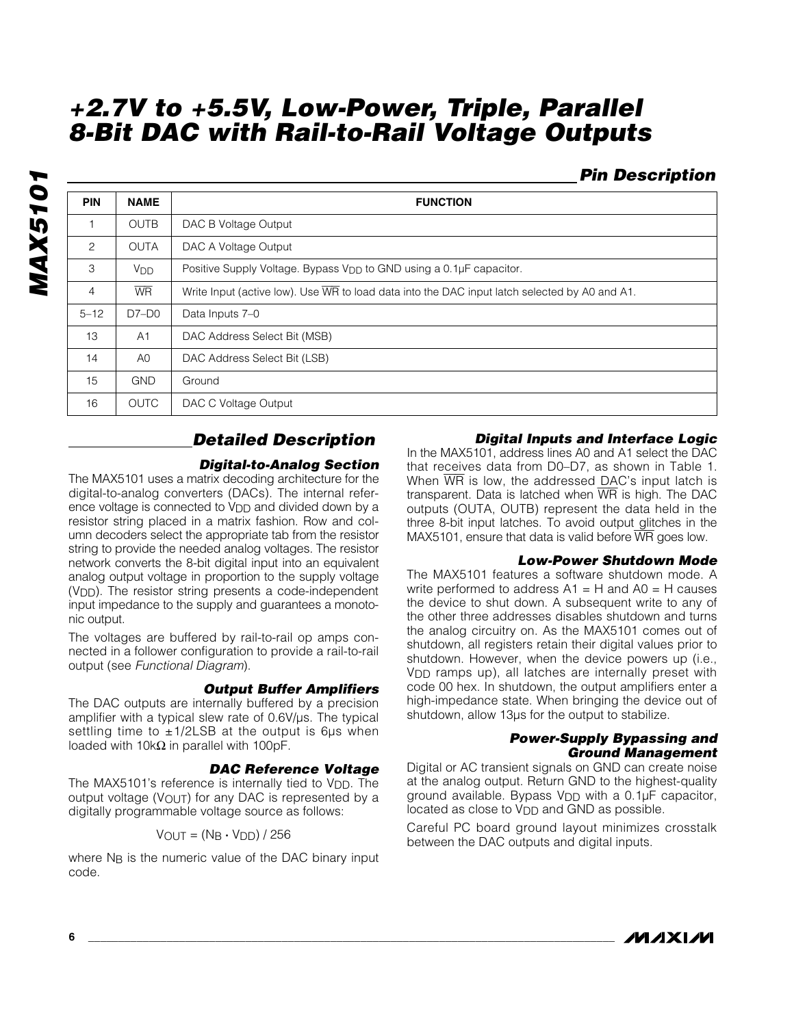### *Pin Description*

| <b>PIN</b>     | <b>NAME</b>           | <b>FUNCTION</b>                                                                               |  |  |
|----------------|-----------------------|-----------------------------------------------------------------------------------------------|--|--|
|                | <b>OUTB</b>           | DAC B Voltage Output                                                                          |  |  |
| 2              | <b>OUTA</b>           | DAC A Voltage Output                                                                          |  |  |
| 3              | <b>V<sub>DD</sub></b> | Positive Supply Voltage. Bypass V <sub>DD</sub> to GND using a 0.1µF capacitor.               |  |  |
| $\overline{4}$ | <b>WR</b>             | Write Input (active low). Use WR to load data into the DAC input latch selected by A0 and A1. |  |  |
| $5 - 12$       | $D7-D0$               | Data Inputs 7-0                                                                               |  |  |
| 13             | A1                    | DAC Address Select Bit (MSB)                                                                  |  |  |
| 14             | A <sub>0</sub>        | DAC Address Select Bit (LSB)                                                                  |  |  |
| 15             | <b>GND</b>            | Ground                                                                                        |  |  |
| 16             | <b>OUTC</b>           | DAC C Voltage Output                                                                          |  |  |

### *Detailed Description*

#### *Digital-to-Analog Section*

The MAX5101 uses a matrix decoding architecture for the digital-to-analog converters (DACs). The internal reference voltage is connected to V<sub>DD</sub> and divided down by a resistor string placed in a matrix fashion. Row and column decoders select the appropriate tab from the resistor string to provide the needed analog voltages. The resistor network converts the 8-bit digital input into an equivalent analog output voltage in proportion to the supply voltage (VDD). The resistor string presents a code-independent input impedance to the supply and guarantees a monotonic output.

The voltages are buffered by rail-to-rail op amps connected in a follower configuration to provide a rail-to-rail output (see *Functional Diagram*).

#### *Output Buffer Amplifiers*

The DAC outputs are internally buffered by a precision amplifier with a typical slew rate of 0.6V/µs. The typical settling time to  $\pm$ 1/2LSB at the output is 6us when loaded with 10k $\Omega$  in parallel with 100pF.

#### *DAC Reference Voltage*

The MAX5101's reference is internally tied to V<sub>DD</sub>. The output voltage (VOUT) for any DAC is represented by a digitally programmable voltage source as follows:

 $V_{OUT} = (N_B \cdot V_{DD}) / 256$ 

where N<sub>B</sub> is the numeric value of the DAC binary input code.

#### *Digital Inputs and Interface Logic*

In the MAX5101, address lines A0 and A1 select the DAC that receives data from D0–D7, as shown in Table 1. When  $\overline{WR}$  is low, the addressed DAC's input latch is transparent. Data is latched when  $\overline{WR}$  is high. The DAC outputs (OUTA, OUTB) represent the data held in the three 8-bit input latches. To avoid output glitches in the MAX5101, ensure that data is valid before  $\overline{WR}$  goes low.

#### *Low-Power Shutdown Mode*

The MAX5101 features a software shutdown mode. A write performed to address  $A1 = H$  and  $A0 = H$  causes the device to shut down. A subsequent write to any of the other three addresses disables shutdown and turns the analog circuitry on. As the MAX5101 comes out of shutdown, all registers retain their digital values prior to shutdown. However, when the device powers up (i.e., VDD ramps up), all latches are internally preset with code 00 hex. In shutdown, the output amplifiers enter a high-impedance state. When bringing the device out of shutdown, allow 13µs for the output to stabilize.

#### *Power-Supply Bypassing and Ground Management*

Digital or AC transient signals on GND can create noise at the analog output. Return GND to the highest-quality ground available. Bypass VDD with a 0.1µF capacitor, located as close to V<sub>DD</sub> and GND as possible.

Careful PC board ground layout minimizes crosstalk between the DAC outputs and digital inputs.

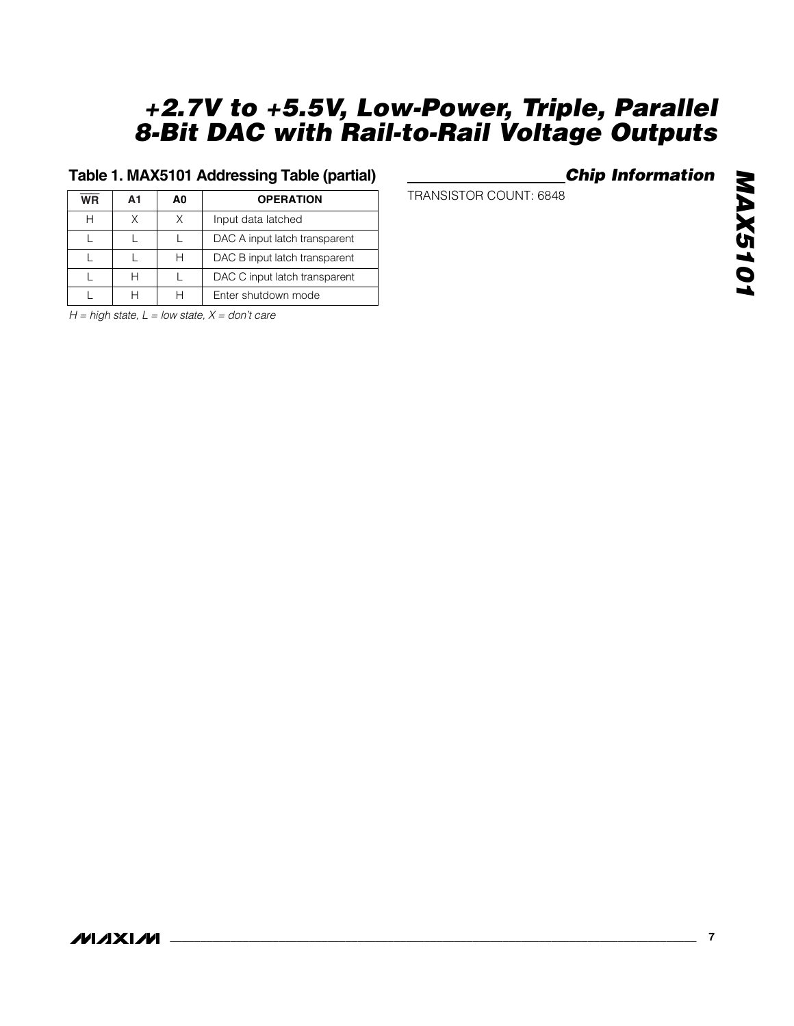### **Table 1. MAX5101 Addressing Table (partial)**

| <b>WR</b> | А1 | A0 | <b>OPERATION</b>              |
|-----------|----|----|-------------------------------|
|           | Χ  |    | Input data latched            |
|           |    |    | DAC A input latch transparent |
|           |    |    | DAC B input latch transparent |
|           |    |    | DAC C input latch transparent |
|           |    |    | Enter shutdown mode           |

*H = high state, L = low state, X = don't care*

### *Chip Information*

TRANSISTOR COUNT: 6848